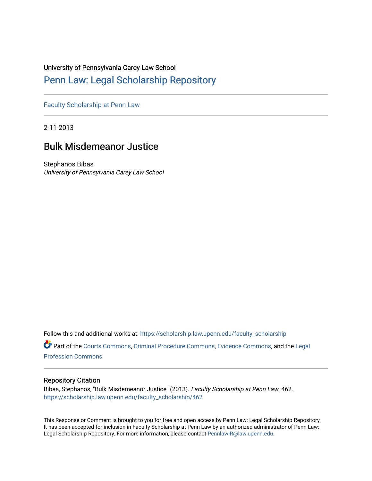# University of Pennsylvania Carey Law School

# [Penn Law: Legal Scholarship Repository](https://scholarship.law.upenn.edu/)

[Faculty Scholarship at Penn Law](https://scholarship.law.upenn.edu/faculty_scholarship)

2-11-2013

# Bulk Misdemeanor Justice

Stephanos Bibas University of Pennsylvania Carey Law School

Follow this and additional works at: [https://scholarship.law.upenn.edu/faculty\\_scholarship](https://scholarship.law.upenn.edu/faculty_scholarship?utm_source=scholarship.law.upenn.edu%2Ffaculty_scholarship%2F462&utm_medium=PDF&utm_campaign=PDFCoverPages) 

Part of the [Courts Commons,](http://network.bepress.com/hgg/discipline/839?utm_source=scholarship.law.upenn.edu%2Ffaculty_scholarship%2F462&utm_medium=PDF&utm_campaign=PDFCoverPages) [Criminal Procedure Commons,](http://network.bepress.com/hgg/discipline/1073?utm_source=scholarship.law.upenn.edu%2Ffaculty_scholarship%2F462&utm_medium=PDF&utm_campaign=PDFCoverPages) [Evidence Commons](http://network.bepress.com/hgg/discipline/601?utm_source=scholarship.law.upenn.edu%2Ffaculty_scholarship%2F462&utm_medium=PDF&utm_campaign=PDFCoverPages), and the [Legal](http://network.bepress.com/hgg/discipline/1075?utm_source=scholarship.law.upenn.edu%2Ffaculty_scholarship%2F462&utm_medium=PDF&utm_campaign=PDFCoverPages)  [Profession Commons](http://network.bepress.com/hgg/discipline/1075?utm_source=scholarship.law.upenn.edu%2Ffaculty_scholarship%2F462&utm_medium=PDF&utm_campaign=PDFCoverPages) 

## Repository Citation

Bibas, Stephanos, "Bulk Misdemeanor Justice" (2013). Faculty Scholarship at Penn Law. 462. [https://scholarship.law.upenn.edu/faculty\\_scholarship/462](https://scholarship.law.upenn.edu/faculty_scholarship/462?utm_source=scholarship.law.upenn.edu%2Ffaculty_scholarship%2F462&utm_medium=PDF&utm_campaign=PDFCoverPages) 

This Response or Comment is brought to you for free and open access by Penn Law: Legal Scholarship Repository. It has been accepted for inclusion in Faculty Scholarship at Penn Law by an authorized administrator of Penn Law: Legal Scholarship Repository. For more information, please contact [PennlawIR@law.upenn.edu.](mailto:PennlawIR@law.upenn.edu)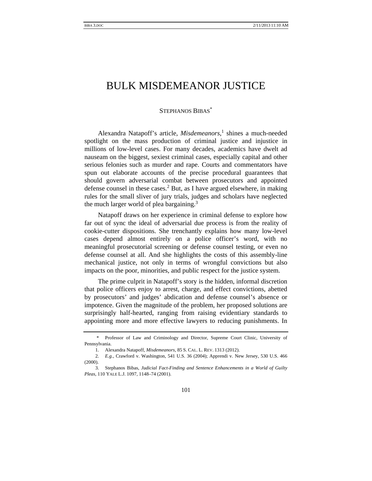# BULK MISDEMEANOR JUSTICE

#### STEPHANOS BIBAS\*

Alexandra Natapoff's article, *Misdemeanors*,<sup>1</sup> shines a much-needed spotlight on the mass production of criminal justice and injustice in millions of low-level cases. For many decades, academics have dwelt ad nauseam on the biggest, sexiest criminal cases, especially capital and other serious felonies such as murder and rape. Courts and commentators have spun out elaborate accounts of the precise procedural guarantees that should govern adversarial combat between prosecutors and appointed defense counsel in these cases. $<sup>2</sup>$  But, as I have argued elsewhere, in making</sup> rules for the small sliver of jury trials, judges and scholars have neglected the much larger world of plea bargaining.3

Natapoff draws on her experience in criminal defense to explore how far out of sync the ideal of adversarial due process is from the reality of cookie-cutter dispositions. She trenchantly explains how many low-level cases depend almost entirely on a police officer's word, with no meaningful prosecutorial screening or defense counsel testing, or even no defense counsel at all. And she highlights the costs of this assembly-line mechanical justice, not only in terms of wrongful convictions but also impacts on the poor, minorities, and public respect for the justice system.

The prime culprit in Natapoff's story is the hidden, informal discretion that police officers enjoy to arrest, charge, and effect convictions, abetted by prosecutors' and judges' abdication and defense counsel's absence or impotence. Given the magnitude of the problem, her proposed solutions are surprisingly half-hearted, ranging from raising evidentiary standards to appointing more and more effective lawyers to reducing punishments. In

 <sup>\*</sup> Professor of Law and Criminology and Director, Supreme Court Clinic, University of Pennsylvania.

 <sup>1.</sup> Alexandra Natapoff, *Misdemeanors*, 85 S. CAL. L. REV. 1313 (2012).

<sup>2</sup>*. E.g.*, Crawford v. Washington, 541 U.S. 36 (2004); Apprendi v. New Jersey, 530 U.S. 466 (2000).

 <sup>3.</sup> Stephanos Bibas, *Judicial Fact-Finding and Sentence Enhancements in a World of Guilty Pleas*, 110 YALE L.J. 1097, 1148–74 (2001).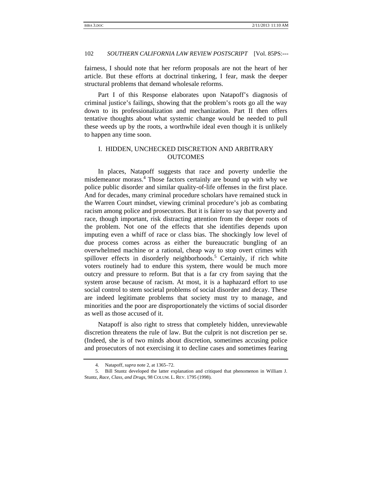#### 102 *SOUTHERN CALIFORNIA LAW REVIEW POSTSCRIPT* [Vol. 85PS:---

fairness, I should note that her reform proposals are not the heart of her article. But these efforts at doctrinal tinkering, I fear, mask the deeper structural problems that demand wholesale reforms.

Part I of this Response elaborates upon Natapoff's diagnosis of criminal justice's failings, showing that the problem's roots go all the way down to its professionalization and mechanization. Part II then offers tentative thoughts about what systemic change would be needed to pull these weeds up by the roots, a worthwhile ideal even though it is unlikely to happen any time soon.

### I. HIDDEN, UNCHECKED DISCRETION AND ARBITRARY **OUTCOMES**

In places, Natapoff suggests that race and poverty underlie the misdemeanor morass.4 Those factors certainly are bound up with why we police public disorder and similar quality-of-life offenses in the first place. And for decades, many criminal procedure scholars have remained stuck in the Warren Court mindset, viewing criminal procedure's job as combating racism among police and prosecutors. But it is fairer to say that poverty and race, though important, risk distracting attention from the deeper roots of the problem. Not one of the effects that she identifies depends upon imputing even a whiff of race or class bias. The shockingly low level of due process comes across as either the bureaucratic bungling of an overwhelmed machine or a rational, cheap way to stop overt crimes with spillover effects in disorderly neighborhoods.<sup>5</sup> Certainly, if rich white voters routinely had to endure this system, there would be much more outcry and pressure to reform. But that is a far cry from saying that the system arose because of racism. At most, it is a haphazard effort to use social control to stem societal problems of social disorder and decay. These are indeed legitimate problems that society must try to manage, and minorities and the poor are disproportionately the victims of social disorder as well as those accused of it.

Natapoff is also right to stress that completely hidden, unreviewable discretion threatens the rule of law. But the culprit is not discretion per se. (Indeed, she is of two minds about discretion, sometimes accusing police and prosecutors of not exercising it to decline cases and sometimes fearing

 <sup>4.</sup> Natapoff, *supra* note 2, at 1365–72.

 <sup>5.</sup> Bill Stuntz developed the latter explanation and critiqued that phenomenon in William J. Stuntz, *Race, Class, and Drugs*, 98 COLUM. L. REV. 1795 (1998).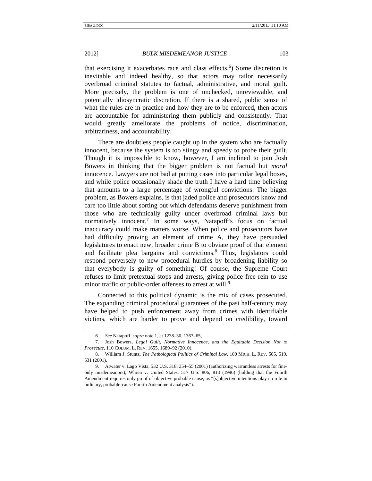#### 2012] *BULK MISDEMEANOR JUSTICE* 103

that exercising it exacerbates race and class effects.<sup>6</sup>) Some discretion is inevitable and indeed healthy, so that actors may tailor necessarily overbroad criminal statutes to factual, administrative, and moral guilt. More precisely, the problem is one of unchecked, unreviewable, and potentially idiosyncratic discretion. If there is a shared, public sense of what the rules are in practice and how they are to be enforced, then actors are accountable for administering them publicly and consistently. That would greatly ameliorate the problems of notice, discrimination, arbitrariness, and accountability.

There are doubtless people caught up in the system who are factually innocent, because the system is too stingy and speedy to probe their guilt. Though it is impossible to know, however, I am inclined to join Josh Bowers in thinking that the bigger problem is not factual but *moral* innocence. Lawyers are not bad at putting cases into particular legal boxes, and while police occasionally shade the truth I have a hard time believing that amounts to a large percentage of wrongful convictions. The bigger problem, as Bowers explains, is that jaded police and prosecutors know and care too little about sorting out which defendants deserve punishment from those who are technically guilty under overbroad criminal laws but normatively innocent.<sup>7</sup> In some ways, Natapoff's focus on factual inaccuracy could make matters worse. When police and prosecutors have had difficulty proving an element of crime A, they have persuaded legislatures to enact new, broader crime B to obviate proof of that element and facilitate plea bargains and convictions.<sup>8</sup> Thus, legislators could respond perversely to new procedural hurdles by broadening liability so that everybody is guilty of something! Of course, the Supreme Court refuses to limit pretextual stops and arrests, giving police free rein to use minor traffic or public-order offenses to arrest at will.<sup>9</sup>

Connected to this political dynamic is the mix of cases prosecuted. The expanding criminal procedural guarantees of the past half-century may have helped to push enforcement away from crimes with identifiable victims, which are harder to prove and depend on credibility, toward

 <sup>6.</sup> *See* Natapoff, *supra* note 1, at 1238–30, 1363–65,

 <sup>7.</sup> Josh Bowers, *Legal Guilt, Normative Innocence, and the Equitable Decision Not to Prosecute*, 110 COLUM. L. REV. 1655, 1689–92 (2010).

 <sup>8.</sup> William J. Stuntz, *The Pathological Politics of Criminal Law*, 100 MICH. L. REV. 505, 519, 531 (2001).

 <sup>9.</sup> Atwater v. Lago Vista, 532 U.S. 318, 354–55 (2001) (authorizing warrantless arrests for fineonly misdemeanors); Whren v. United States, 517 U.S. 806, 813 (1996) (holding that the Fourth Amendment requires only proof of objective probable cause, as "[s]ubjective intentions play no role in ordinary, probable-cause Fourth Amendment analysis").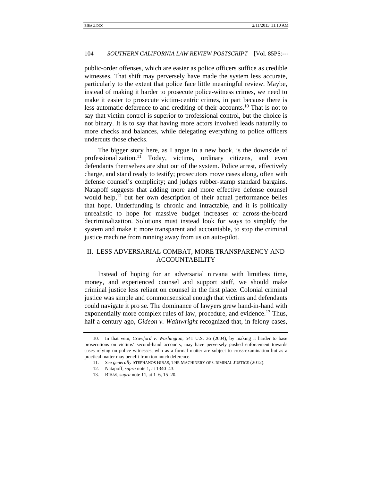### 104 *SOUTHERN CALIFORNIA LAW REVIEW POSTSCRIPT* [Vol. 85PS:---

public-order offenses, which are easier as police officers suffice as credible witnesses. That shift may perversely have made the system less accurate, particularly to the extent that police face little meaningful review. Maybe, instead of making it harder to prosecute police-witness crimes, we need to make it easier to prosecute victim-centric crimes, in part because there is less automatic deference to and crediting of their accounts.10 That is not to say that victim control is superior to professional control, but the choice is not binary. It is to say that having more actors involved leads naturally to more checks and balances, while delegating everything to police officers undercuts those checks.

The bigger story here, as I argue in a new book, is the downside of professionalization.<sup>11</sup> Today, victims, ordinary citizens, and even defendants themselves are shut out of the system. Police arrest, effectively charge, and stand ready to testify; prosecutors move cases along, often with defense counsel's complicity; and judges rubber-stamp standard bargains. Natapoff suggests that adding more and more effective defense counsel would help, $^{12}$  but her own description of their actual performance belies that hope. Underfunding is chronic and intractable, and it is politically unrealistic to hope for massive budget increases or across-the-board decriminalization. Solutions must instead look for ways to simplify the system and make it more transparent and accountable, to stop the criminal justice machine from running away from us on auto-pilot.

## II. LESS ADVERSARIAL COMBAT, MORE TRANSPARENCY AND ACCOUNTABILITY

Instead of hoping for an adversarial nirvana with limitless time, money, and experienced counsel and support staff, we should make criminal justice less reliant on counsel in the first place. Colonial criminal justice was simple and commonsensical enough that victims and defendants could navigate it pro se. The dominance of lawyers grew hand-in-hand with exponentially more complex rules of law, procedure, and evidence.<sup>13</sup> Thus, half a century ago, *Gideon v. Wainwright* recognized that, in felony cases,

 <sup>10.</sup> In that vein, *Crawford v. Washington*, 541 U.S. 36 (2004), by making it harder to base prosecutions on victims' second-hand accounts, may have perversely pushed enforcement towards cases relying on police witnesses, who as a formal matter are subject to cross-examination but as a practical matter may benefit from too much deference.

<sup>11</sup>*. See generally* STEPHANOS BIBAS, THE MACHINERY OF CRIMINAL JUSTICE (2012).

 <sup>12.</sup> Natapoff, *supra* note 1, at 1340–43.

<sup>13</sup>*.* BIBAS, *supra* note 11, at 1–6, 15–20.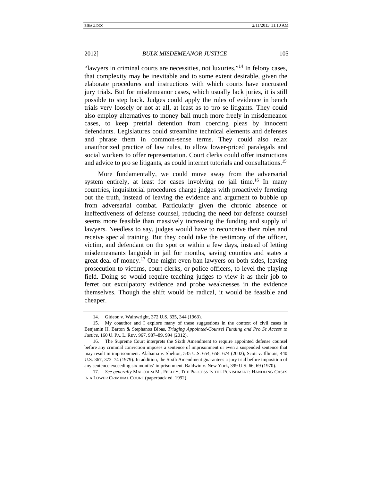### 2012] *BULK MISDEMEANOR JUSTICE* 105

"lawyers in criminal courts are necessities, not luxuries."14 In felony cases, that complexity may be inevitable and to some extent desirable, given the elaborate procedures and instructions with which courts have encrusted jury trials. But for misdemeanor cases, which usually lack juries, it is still possible to step back. Judges could apply the rules of evidence in bench trials very loosely or not at all, at least as to pro se litigants. They could also employ alternatives to money bail much more freely in misdemeanor cases, to keep pretrial detention from coercing pleas by innocent defendants. Legislatures could streamline technical elements and defenses and phrase them in common-sense terms. They could also relax unauthorized practice of law rules, to allow lower-priced paralegals and social workers to offer representation. Court clerks could offer instructions and advice to pro se litigants, as could internet tutorials and consultations.<sup>15</sup>

More fundamentally, we could move away from the adversarial system entirely, at least for cases involving no jail time.<sup>16</sup> In many countries, inquisitorial procedures charge judges with proactively ferreting out the truth, instead of leaving the evidence and argument to bubble up from adversarial combat. Particularly given the chronic absence or ineffectiveness of defense counsel, reducing the need for defense counsel seems more feasible than massively increasing the funding and supply of lawyers. Needless to say, judges would have to reconceive their roles and receive special training. But they could take the testimony of the officer, victim, and defendant on the spot or within a few days, instead of letting misdemeanants languish in jail for months, saving counties and states a great deal of money.17 One might even ban lawyers on both sides, leaving prosecution to victims, court clerks, or police officers, to level the playing field. Doing so would require teaching judges to view it as their job to ferret out exculpatory evidence and probe weaknesses in the evidence themselves. Though the shift would be radical, it would be feasible and cheaper.

 <sup>14.</sup> Gideon v. Wainwright, 372 U.S. 335, 344 (1963).

 <sup>15.</sup> My coauthor and I explore many of these suggestions in the context of civil cases in Benjamin H. Barton & Stephanos Bibas, *Triaging Appointed-Counsel Funding and Pro Se Access to Justice*, 160 U. PA. L. REV. 967, 987–89, 994 (2012).

 <sup>16.</sup> The Supreme Court interprets the Sixth Amendment to require appointed defense counsel before any criminal conviction imposes a sentence of imprisonment or even a suspended sentence that may result in imprisonment. Alabama v. Shelton, 535 U.S. 654, 658, 674 (2002); Scott v. Illinois, 440 U.S. 367, 373–74 (1979). In addition, the Sixth Amendment guarantees a jury trial before imposition of any sentence exceeding six months' imprisonment. Baldwin v. New York, 399 U.S. 66, 69 (1970).

<sup>17</sup>*. See generally* MALCOLM M . FEELEY, THE PROCESS IS THE PUNISHMENT: HANDLING CASES IN A LOWER CRIMINAL COURT (paperback ed. 1992).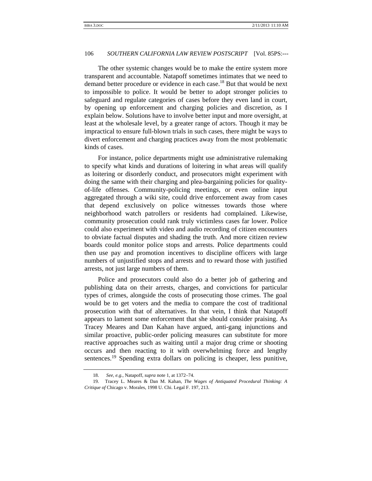#### 106 *SOUTHERN CALIFORNIA LAW REVIEW POSTSCRIPT* [Vol. 85PS:---

The other systemic changes would be to make the entire system more transparent and accountable. Natapoff sometimes intimates that we need to demand better procedure or evidence in each case.<sup>18</sup> But that would be next to impossible to police. It would be better to adopt stronger policies to safeguard and regulate categories of cases before they even land in court, by opening up enforcement and charging policies and discretion, as I explain below. Solutions have to involve better input and more oversight, at least at the wholesale level, by a greater range of actors. Though it may be impractical to ensure full-blown trials in such cases, there might be ways to divert enforcement and charging practices away from the most problematic kinds of cases.

For instance, police departments might use administrative rulemaking to specify what kinds and durations of loitering in what areas will qualify as loitering or disorderly conduct, and prosecutors might experiment with doing the same with their charging and plea-bargaining policies for qualityof-life offenses. Community-policing meetings, or even online input aggregated through a wiki site, could drive enforcement away from cases that depend exclusively on police witnesses towards those where neighborhood watch patrollers or residents had complained. Likewise, community prosecution could rank truly victimless cases far lower. Police could also experiment with video and audio recording of citizen encounters to obviate factual disputes and shading the truth. And more citizen review boards could monitor police stops and arrests. Police departments could then use pay and promotion incentives to discipline officers with large numbers of unjustified stops and arrests and to reward those with justified arrests, not just large numbers of them.

Police and prosecutors could also do a better job of gathering and publishing data on their arrests, charges, and convictions for particular types of crimes, alongside the costs of prosecuting those crimes. The goal would be to get voters and the media to compare the cost of traditional prosecution with that of alternatives. In that vein, I think that Natapoff appears to lament some enforcement that she should consider praising. As Tracey Meares and Dan Kahan have argued, anti-gang injunctions and similar proactive, public-order policing measures can substitute for more reactive approaches such as waiting until a major drug crime or shooting occurs and then reacting to it with overwhelming force and lengthy sentences.<sup>19</sup> Spending extra dollars on policing is cheaper, less punitive,

 <sup>18.</sup> *See, e.g.*, Natapoff, *supra* note 1, at 1372–74.

 <sup>19.</sup> Tracey L. Meares & Dan M. Kahan, *The Wages of Antiquated Procedural Thinking: A Critique of* Chicago v. Morales, 1998 U. Chi. Legal F. 197, 213.